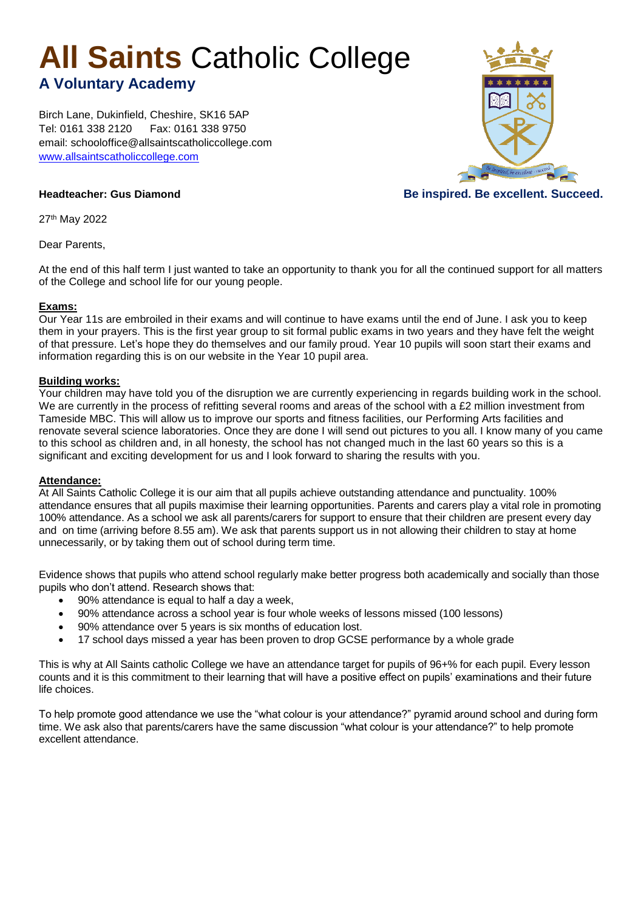# **All Saints** Catholic College

## **A Voluntary Academy**

Birch Lane, Dukinfield, Cheshire, SK16 5AP Tel: 0161 338 2120 Fax: 0161 338 9750 email: schooloffice@allsaintscatholiccollege.com [www.allsaintscatholiccollege.com](http://www.allsaintscatholiccollege.com/)



### **Headteacher: Gus Diamond Community Community Community Community Be inspired. Be excellent. Succeed.**

27th May 2022

Dear Parents,

At the end of this half term I just wanted to take an opportunity to thank you for all the continued support for all matters of the College and school life for our young people.

#### **Exams:**

Our Year 11s are embroiled in their exams and will continue to have exams until the end of June. I ask you to keep them in your prayers. This is the first year group to sit formal public exams in two years and they have felt the weight of that pressure. Let's hope they do themselves and our family proud. Year 10 pupils will soon start their exams and information regarding this is on our website in the Year 10 pupil area.

#### **Building works:**

Your children may have told you of the disruption we are currently experiencing in regards building work in the school. We are currently in the process of refitting several rooms and areas of the school with a £2 million investment from Tameside MBC. This will allow us to improve our sports and fitness facilities, our Performing Arts facilities and renovate several science laboratories. Once they are done I will send out pictures to you all. I know many of you came to this school as children and, in all honesty, the school has not changed much in the last 60 years so this is a significant and exciting development for us and I look forward to sharing the results with you.

#### **Attendance:**

At All Saints Catholic College it is our aim that all pupils achieve outstanding attendance and punctuality. 100% attendance ensures that all pupils maximise their learning opportunities. Parents and carers play a vital role in promoting 100% attendance. As a school we ask all parents/carers for support to ensure that their children are present every day and on time (arriving before 8.55 am). We ask that parents support us in not allowing their children to stay at home unnecessarily, or by taking them out of school during term time.

Evidence shows that pupils who attend school regularly make better progress both academically and socially than those pupils who don't attend. Research shows that:

- 90% attendance is equal to half a day a week,
- 90% attendance across a school year is four whole weeks of lessons missed (100 lessons)
- 90% attendance over 5 years is six months of education lost.
- 17 school days missed a year has been proven to drop GCSE performance by a whole grade

This is why at All Saints catholic College we have an attendance target for pupils of 96+% for each pupil. Every lesson counts and it is this commitment to their learning that will have a positive effect on pupils' examinations and their future life choices.

To help promote good attendance we use the "what colour is your attendance?" pyramid around school and during form time. We ask also that parents/carers have the same discussion "what colour is your attendance?" to help promote excellent attendance.